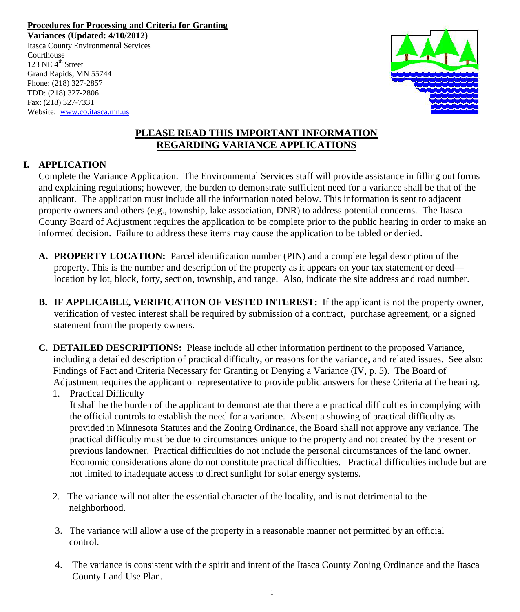**Procedures for Processing and Criteria for Granting Variances (Updated: 4/10/2012)**

Itasca County Environmental Services Courthouse 123 NE  $4^{\text{th}}$  Street Grand Rapids, MN 55744 Phone: (218) 327-2857 TDD: (218) 327-2806 Fax: (218) 327-7331 Website: [www.co.itasca.mn.us](http://www.co.itasca.mn.us/)



## **PLEASE READ THIS IMPORTANT INFORMATION REGARDING VARIANCE APPLICATIONS**

## **I. APPLICATION**

 Complete the Variance Application. The Environmental Services staff will provide assistance in filling out forms and explaining regulations; however, the burden to demonstrate sufficient need for a variance shall be that of the applicant. The application must include all the information noted below. This information is sent to adjacent property owners and others (e.g., township, lake association, DNR) to address potential concerns. The Itasca County Board of Adjustment requires the application to be complete prior to the public hearing in order to make an informed decision. Failure to address these items may cause the application to be tabled or denied.

- **A. PROPERTY LOCATION:** Parcel identification number (PIN) and a complete legal description of the property. This is the number and description of the property as it appears on your tax statement or deed location by lot, block, forty, section, township, and range. Also, indicate the site address and road number.
- **B.** IF APPLICABLE, VERIFICATION OF VESTED INTEREST: If the applicant is not the property owner, verification of vested interest shall be required by submission of a contract, purchase agreement, or a signed statement from the property owners.
- **C. DETAILED DESCRIPTIONS:** Please include all other information pertinent to the proposed Variance, including a detailed description of practical difficulty, or reasons for the variance, and related issues. See also: Findings of Fact and Criteria Necessary for Granting or Denying a Variance (IV, p. 5). The Board of Adjustment requires the applicant or representative to provide public answers for these Criteria at the hearing.

## 1. Practical Difficulty

 It shall be the burden of the applicant to demonstrate that there are practical difficulties in complying with the official controls to establish the need for a variance. Absent a showing of practical difficulty as provided in Minnesota Statutes and the Zoning Ordinance, the Board shall not approve any variance. The practical difficulty must be due to circumstances unique to the property and not created by the present or previous landowner. Practical difficulties do not include the personal circumstances of the land owner. Economic considerations alone do not constitute practical difficulties. Practical difficulties include but are not limited to inadequate access to direct sunlight for solar energy systems.

- 2. The variance will not alter the essential character of the locality, and is not detrimental to the neighborhood.
- 3. The variance will allow a use of the property in a reasonable manner not permitted by an official control.
- 4. The variance is consistent with the spirit and intent of the Itasca County Zoning Ordinance and the Itasca County Land Use Plan.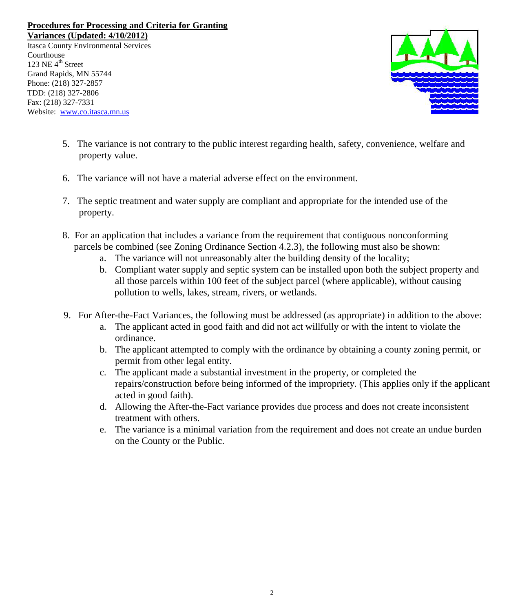**Variances (Updated: 4/10/2012)**

Itasca County Environmental Services **Courthouse** 123 NE  $4^{\text{th}}$  Street Grand Rapids, MN 55744 Phone: (218) 327-2857 TDD: (218) 327-2806 Fax: (218) 327-7331 Website: [www.co.itasca.mn.us](http://www.co.itasca.mn.us/)



- 5. The variance is not contrary to the public interest regarding health, safety, convenience, welfare and property value.
- 6. The variance will not have a material adverse effect on the environment.
- 7. The septic treatment and water supply are compliant and appropriate for the intended use of the property.
- 8. For an application that includes a variance from the requirement that contiguous nonconforming parcels be combined (see Zoning Ordinance Section 4.2.3), the following must also be shown:
	- a. The variance will not unreasonably alter the building density of the locality;
	- b. Compliant water supply and septic system can be installed upon both the subject property and all those parcels within 100 feet of the subject parcel (where applicable), without causing pollution to wells, lakes, stream, rivers, or wetlands.
- 9. For After-the-Fact Variances, the following must be addressed (as appropriate) in addition to the above:
	- a. The applicant acted in good faith and did not act willfully or with the intent to violate the ordinance.
	- b. The applicant attempted to comply with the ordinance by obtaining a county zoning permit, or permit from other legal entity.
	- c. The applicant made a substantial investment in the property, or completed the repairs/construction before being informed of the impropriety. (This applies only if the applicant acted in good faith).
	- d. Allowing the After-the-Fact variance provides due process and does not create inconsistent treatment with others.
	- e. The variance is a minimal variation from the requirement and does not create an undue burden on the County or the Public.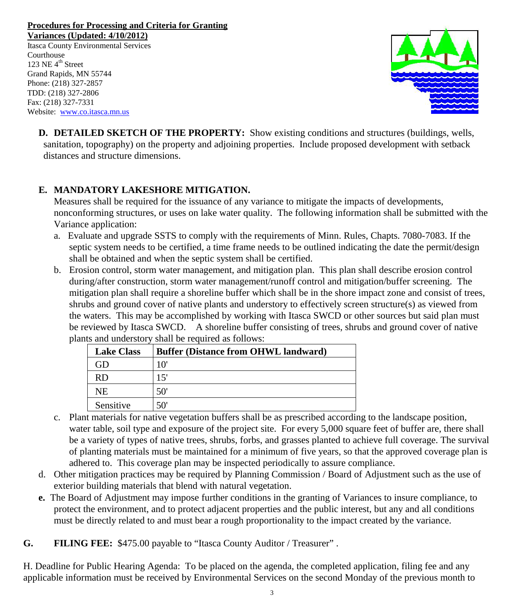**Variances (Updated: 4/10/2012)** Itasca County Environmental Services **Courthouse** 123 NE  $4^{\text{th}}$  Street Grand Rapids, MN 55744 Phone: (218) 327-2857 TDD: (218) 327-2806 Fax: (218) 327-7331 Website: [www.co.itasca.mn.us](http://www.co.itasca.mn.us/)



**D. DETAILED SKETCH OF THE PROPERTY:** Show existing conditions and structures (buildings, wells, sanitation, topography) on the property and adjoining properties. Include proposed development with setback distances and structure dimensions.

## **E. MANDATORY LAKESHORE MITIGATION.**

Measures shall be required for the issuance of any variance to mitigate the impacts of developments, nonconforming structures, or uses on lake water quality. The following information shall be submitted with the Variance application:

- a. Evaluate and upgrade SSTS to comply with the requirements of Minn. Rules, Chapts. 7080-7083. If the septic system needs to be certified, a time frame needs to be outlined indicating the date the permit/design shall be obtained and when the septic system shall be certified.
- b. Erosion control, storm water management, and mitigation plan. This plan shall describe erosion control during/after construction, storm water management/runoff control and mitigation/buffer screening. The mitigation plan shall require a shoreline buffer which shall be in the shore impact zone and consist of trees, shrubs and ground cover of native plants and understory to effectively screen structure(s) as viewed from the waters. This may be accomplished by working with Itasca SWCD or other sources but said plan must be reviewed by Itasca SWCD. A shoreline buffer consisting of trees, shrubs and ground cover of native plants and understory shall be required as follows:

| <b>Lake Class</b> | <b>Buffer (Distance from OHWL landward)</b> |
|-------------------|---------------------------------------------|
| iD                | 10'                                         |
| RD                | 15'                                         |
| NE                | 50'                                         |
| Sensitive         | 50'                                         |

- c. Plant materials for native vegetation buffers shall be as prescribed according to the landscape position, water table, soil type and exposure of the project site. For every 5,000 square feet of buffer are, there shall be a variety of types of native trees, shrubs, forbs, and grasses planted to achieve full coverage. The survival of planting materials must be maintained for a minimum of five years, so that the approved coverage plan is adhered to. This coverage plan may be inspected periodically to assure compliance.
- d. Other mitigation practices may be required by Planning Commission / Board of Adjustment such as the use of exterior building materials that blend with natural vegetation.
- **e.** The Board of Adjustment may impose further conditions in the granting of Variances to insure compliance, to protect the environment, and to protect adjacent properties and the public interest, but any and all conditions must be directly related to and must bear a rough proportionality to the impact created by the variance.
- **G. FILING FEE:** \$475.00 payable to "Itasca County Auditor / Treasurer" .

H. Deadline for Public Hearing Agenda: To be placed on the agenda, the completed application, filing fee and any applicable information must be received by Environmental Services on the second Monday of the previous month to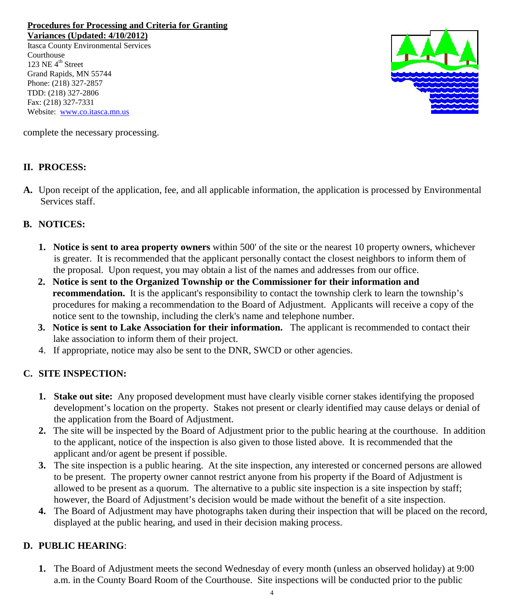**Variances (Updated: 4/10/2012)**

Itasca County Environmental Services **Courthouse** 123 NE  $4^{\text{th}}$  Street Grand Rapids, MN 55744 Phone: (218) 327-2857 TDD: (218) 327-2806 Fax: (218) 327-7331 Website: [www.co.itasca.mn.us](http://www.co.itasca.mn.us/)



complete the necessary processing.

## **II. PROCESS:**

**A.** Upon receipt of the application, fee, and all applicable information, the application is processed by Environmental Services staff.

## **B. NOTICES:**

- **1. Notice is sent to area property owners** within 500' of the site or the nearest 10 property owners, whichever is greater. It is recommended that the applicant personally contact the closest neighbors to inform them of the proposal. Upon request, you may obtain a list of the names and addresses from our office.
- **2. Notice is sent to the Organized Township or the Commissioner for their information and recommendation.** It is the applicant's responsibility to contact the township clerk to learn the township's procedures for making a recommendation to the Board of Adjustment. Applicants will receive a copy of the notice sent to the township, including the clerk's name and telephone number.
- **3. Notice is sent to Lake Association for their information.** The applicant is recommended to contact their lake association to inform them of their project.
- 4. If appropriate, notice may also be sent to the DNR, SWCD or other agencies.

## **C. SITE INSPECTION:**

- **1. Stake out site:** Any proposed development must have clearly visible corner stakes identifying the proposed development's location on the property. Stakes not present or clearly identified may cause delays or denial of the application from the Board of Adjustment.
- **2.** The site will be inspected by the Board of Adjustment prior to the public hearing at the courthouse. In addition to the applicant, notice of the inspection is also given to those listed above. It is recommended that the applicant and/or agent be present if possible.
- **3.** The site inspection is a public hearing. At the site inspection, any interested or concerned persons are allowed to be present. The property owner cannot restrict anyone from his property if the Board of Adjustment is allowed to be present as a quorum. The alternative to a public site inspection is a site inspection by staff; however, the Board of Adjustment's decision would be made without the benefit of a site inspection.
- **4.** The Board of Adjustment may have photographs taken during their inspection that will be placed on the record, displayed at the public hearing, and used in their decision making process.

## **D. PUBLIC HEARING**:

**1.** The Board of Adjustment meets the second Wednesday of every month (unless an observed holiday) at 9:00 a.m. in the County Board Room of the Courthouse. Site inspections will be conducted prior to the public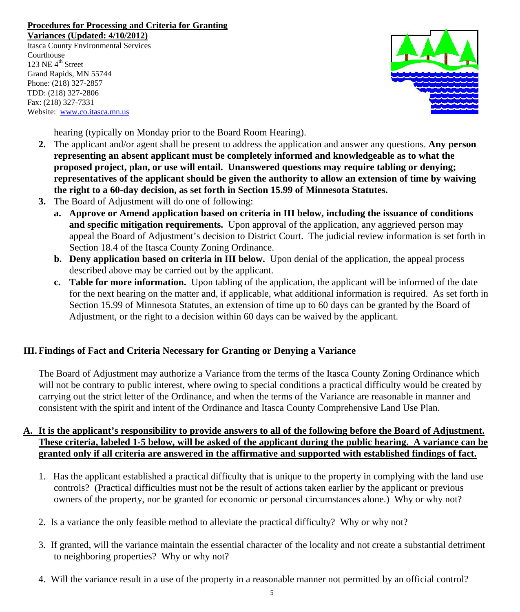**Variances (Updated: 4/10/2012)**

Itasca County Environmental Services Courthouse 123 NE  $4^{\text{th}}$  Street Grand Rapids, MN 55744 Phone: (218) 327-2857 TDD: (218) 327-2806 Fax: (218) 327-7331 Website: [www.co.itasca.mn.us](http://www.co.itasca.mn.us/)



hearing (typically on Monday prior to the Board Room Hearing).

- **2.** The applicant and/or agent shall be present to address the application and answer any questions. **Any person representing an absent applicant must be completely informed and knowledgeable as to what the proposed project, plan, or use will entail. Unanswered questions may require tabling or denying; representatives of the applicant should be given the authority to allow an extension of time by waiving the right to a 60-day decision, as set forth in Section 15.99 of Minnesota Statutes.**
- **3.** The Board of Adjustment will do one of following:
	- **a. Approve or Amend application based on criteria in III below, including the issuance of conditions and specific mitigation requirements.** Upon approval of the application, any aggrieved person may appeal the Board of Adjustment's decision to District Court. The judicial review information is set forth in Section 18.4 of the Itasca County Zoning Ordinance.
	- **b. Deny application based on criteria in III below.** Upon denial of the application, the appeal process described above may be carried out by the applicant.
	- **c. Table for more information.** Upon tabling of the application, the applicant will be informed of the date for the next hearing on the matter and, if applicable, what additional information is required. As set forth in Section 15.99 of Minnesota Statutes, an extension of time up to 60 days can be granted by the Board of Adjustment, or the right to a decision within 60 days can be waived by the applicant.

## **III. Findings of Fact and Criteria Necessary for Granting or Denying a Variance**

The Board of Adjustment may authorize a Variance from the terms of the Itasca County Zoning Ordinance which will not be contrary to public interest, where owing to special conditions a practical difficulty would be created by carrying out the strict letter of the Ordinance, and when the terms of the Variance are reasonable in manner and consistent with the spirit and intent of the Ordinance and Itasca County Comprehensive Land Use Plan.

## **A. It is the applicant's responsibility to provide answers to all of the following before the Board of Adjustment. These criteria, labeled 1-5 below, will be asked of the applicant during the public hearing. A variance can be granted only if all criteria are answered in the affirmative and supported with established findings of fact.**

- 1. Has the applicant established a practical difficulty that is unique to the property in complying with the land use controls? (Practical difficulties must not be the result of actions taken earlier by the applicant or previous owners of the property, nor be granted for economic or personal circumstances alone.) Why or why not?
- 2. Is a variance the only feasible method to alleviate the practical difficulty? Why or why not?
- 3. If granted, will the variance maintain the essential character of the locality and not create a substantial detriment to neighboring properties? Why or why not?
- 4. Will the variance result in a use of the property in a reasonable manner not permitted by an official control?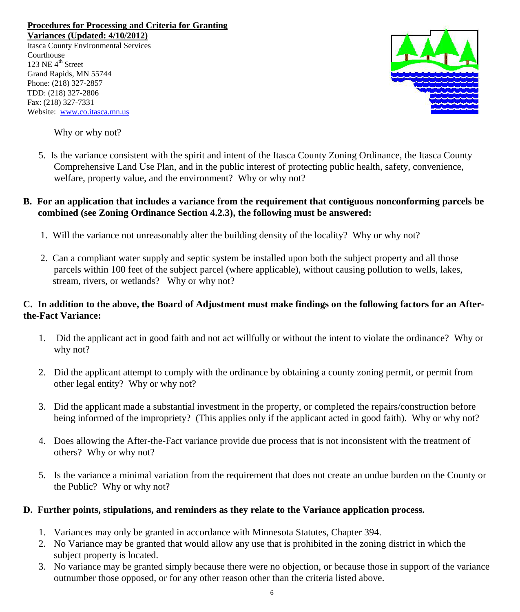**Variances (Updated: 4/10/2012)**

Itasca County Environmental Services Courthouse 123 NE  $4^{\text{th}}$  Street Grand Rapids, MN 55744 Phone: (218) 327-2857 TDD: (218) 327-2806 Fax: (218) 327-7331 Website: [www.co.itasca.mn.us](http://www.co.itasca.mn.us/)



Why or why not?

5. Is the variance consistent with the spirit and intent of the Itasca County Zoning Ordinance, the Itasca County Comprehensive Land Use Plan, and in the public interest of protecting public health, safety, convenience, welfare, property value, and the environment? Why or why not?

### **B. For an application that includes a variance from the requirement that contiguous nonconforming parcels be combined (see Zoning Ordinance Section 4.2.3), the following must be answered:**

- 1. Will the variance not unreasonably alter the building density of the locality? Why or why not?
- 2. Can a compliant water supply and septic system be installed upon both the subject property and all those parcels within 100 feet of the subject parcel (where applicable), without causing pollution to wells, lakes, stream, rivers, or wetlands? Why or why not?

### **C. In addition to the above, the Board of Adjustment must make findings on the following factors for an Afterthe-Fact Variance:**

- 1. Did the applicant act in good faith and not act willfully or without the intent to violate the ordinance? Why or why not?
- 2. Did the applicant attempt to comply with the ordinance by obtaining a county zoning permit, or permit from other legal entity? Why or why not?
- 3. Did the applicant made a substantial investment in the property, or completed the repairs/construction before being informed of the impropriety? (This applies only if the applicant acted in good faith). Why or why not?
- 4. Does allowing the After-the-Fact variance provide due process that is not inconsistent with the treatment of others? Why or why not?
- 5. Is the variance a minimal variation from the requirement that does not create an undue burden on the County or the Public? Why or why not?

### **D. Further points, stipulations, and reminders as they relate to the Variance application process.**

- 1. Variances may only be granted in accordance with Minnesota Statutes, Chapter 394.
- 2. No Variance may be granted that would allow any use that is prohibited in the zoning district in which the subject property is located.
- 3. No variance may be granted simply because there were no objection, or because those in support of the variance outnumber those opposed, or for any other reason other than the criteria listed above.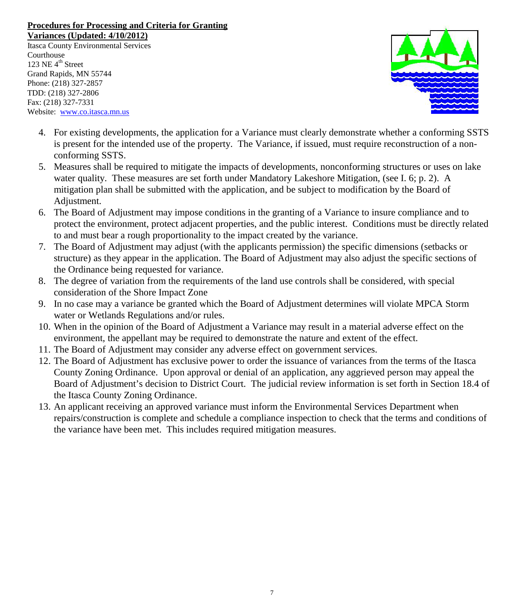**Variances (Updated: 4/10/2012)**

Itasca County Environmental Services **Courthouse** 123 NE  $4^{\text{th}}$  Street Grand Rapids, MN 55744 Phone: (218) 327-2857 TDD: (218) 327-2806 Fax: (218) 327-7331 Website: [www.co.itasca.mn.us](http://www.co.itasca.mn.us/)



- 4. For existing developments, the application for a Variance must clearly demonstrate whether a conforming SSTS is present for the intended use of the property. The Variance, if issued, must require reconstruction of a nonconforming SSTS.
- 5. Measures shall be required to mitigate the impacts of developments, nonconforming structures or uses on lake water quality. These measures are set forth under Mandatory Lakeshore Mitigation, (see I. 6; p. 2). A mitigation plan shall be submitted with the application, and be subject to modification by the Board of Adjustment.
- 6. The Board of Adjustment may impose conditions in the granting of a Variance to insure compliance and to protect the environment, protect adjacent properties, and the public interest. Conditions must be directly related to and must bear a rough proportionality to the impact created by the variance.
- 7. The Board of Adjustment may adjust (with the applicants permission) the specific dimensions (setbacks or structure) as they appear in the application. The Board of Adjustment may also adjust the specific sections of the Ordinance being requested for variance.
- 8. The degree of variation from the requirements of the land use controls shall be considered, with special consideration of the Shore Impact Zone
- 9. In no case may a variance be granted which the Board of Adjustment determines will violate MPCA Storm water or Wetlands Regulations and/or rules.
- 10. When in the opinion of the Board of Adjustment a Variance may result in a material adverse effect on the environment, the appellant may be required to demonstrate the nature and extent of the effect.
- 11. The Board of Adjustment may consider any adverse effect on government services.
- 12. The Board of Adjustment has exclusive power to order the issuance of variances from the terms of the Itasca County Zoning Ordinance. Upon approval or denial of an application, any aggrieved person may appeal the Board of Adjustment's decision to District Court. The judicial review information is set forth in Section 18.4 of the Itasca County Zoning Ordinance.
- 13. An applicant receiving an approved variance must inform the Environmental Services Department when repairs/construction is complete and schedule a compliance inspection to check that the terms and conditions of the variance have been met. This includes required mitigation measures.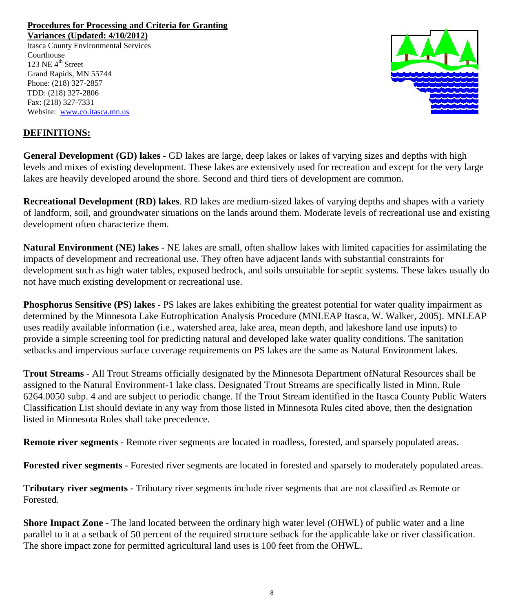**Variances (Updated: 4/10/2012)**

Itasca County Environmental Services **Courthouse** 123 NE  $4^{\text{th}}$  Street Grand Rapids, MN 55744 Phone: (218) 327-2857 TDD: (218) 327-2806 Fax: (218) 327-7331 Website: [www.co.itasca.mn.us](http://www.co.itasca.mn.us/)



## **DEFINITIONS:**

**General Development (GD) lakes -** GD lakes are large, deep lakes or lakes of varying sizes and depths with high levels and mixes of existing development. These lakes are extensively used for recreation and except for the very large lakes are heavily developed around the shore. Second and third tiers of development are common.

**Recreational Development (RD) lakes**. RD lakes are medium-sized lakes of varying depths and shapes with a variety of landform, soil, and groundwater situations on the lands around them. Moderate levels of recreational use and existing development often characterize them.

**Natural Environment (NE) lakes** - NE lakes are small, often shallow lakes with limited capacities for assimilating the impacts of development and recreational use. They often have adjacent lands with substantial constraints for development such as high water tables, exposed bedrock, and soils unsuitable for septic systems. These lakes usually do not have much existing development or recreational use.

**Phosphorus Sensitive (PS) lakes -** PS lakes are lakes exhibiting the greatest potential for water quality impairment as determined by the Minnesota Lake Eutrophication Analysis Procedure (MNLEAP Itasca, W. Walker, 2005). MNLEAP uses readily available information (i.e., watershed area, lake area, mean depth, and lakeshore land use inputs) to provide a simple screening tool for predicting natural and developed lake water quality conditions. The sanitation setbacks and impervious surface coverage requirements on PS lakes are the same as Natural Environment lakes.

**Trout Streams** - All Trout Streams officially designated by the Minnesota Department ofNatural Resources shall be assigned to the Natural Environment-1 lake class. Designated Trout Streams are specifically listed in Minn. Rule 6264.0050 subp. 4 and are subject to periodic change. If the Trout Stream identified in the Itasca County Public Waters Classification List should deviate in any way from those listed in Minnesota Rules cited above, then the designation listed in Minnesota Rules shall take precedence.

**Remote river segments** - Remote river segments are located in roadless, forested, and sparsely populated areas.

**Forested river segments** - Forested river segments are located in forested and sparsely to moderately populated areas.

**Tributary river segments** - Tributary river segments include river segments that are not classified as Remote or Forested.

**Shore Impact Zone -** The land located between the ordinary high water level (OHWL) of public water and a line parallel to it at a setback of 50 percent of the required structure setback for the applicable lake or river classification. The shore impact zone for permitted agricultural land uses is 100 feet from the OHWL.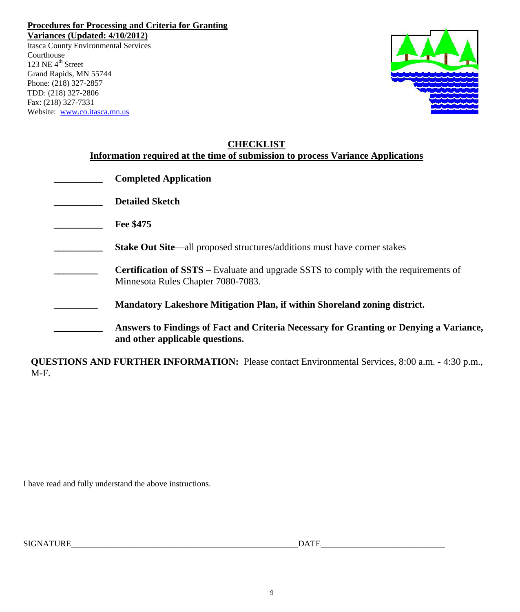**Variances (Updated: 4/10/2012)**

Itasca County Environmental Services Courthouse 123 NE  $4^{\text{th}}$  Street Grand Rapids, MN 55744 Phone: (218) 327-2857 TDD: (218) 327-2806 Fax: (218) 327-7331 Website: [www.co.itasca.mn.us](http://www.co.itasca.mn.us/)



| <b>CHECKLIST</b><br>Information required at the time of submission to process Variance Applications |                                                                                                                                   |
|-----------------------------------------------------------------------------------------------------|-----------------------------------------------------------------------------------------------------------------------------------|
|                                                                                                     | <b>Completed Application</b>                                                                                                      |
|                                                                                                     | <b>Detailed Sketch</b>                                                                                                            |
|                                                                                                     | Fee \$475                                                                                                                         |
|                                                                                                     | Stake Out Site—all proposed structures/additions must have corner stakes                                                          |
|                                                                                                     | <b>Certification of SSTS</b> – Evaluate and upgrade SSTS to comply with the requirements of<br>Minnesota Rules Chapter 7080-7083. |
|                                                                                                     | Mandatory Lakeshore Mitigation Plan, if within Shoreland zoning district.                                                         |
|                                                                                                     | Answers to Findings of Fact and Criteria Necessary for Granting or Denying a Variance,<br>and other applicable questions.         |

**QUESTIONS AND FURTHER INFORMATION:** Please contact Environmental Services, 8:00 a.m. - 4:30 p.m., M-F.

I have read and fully understand the above instructions.